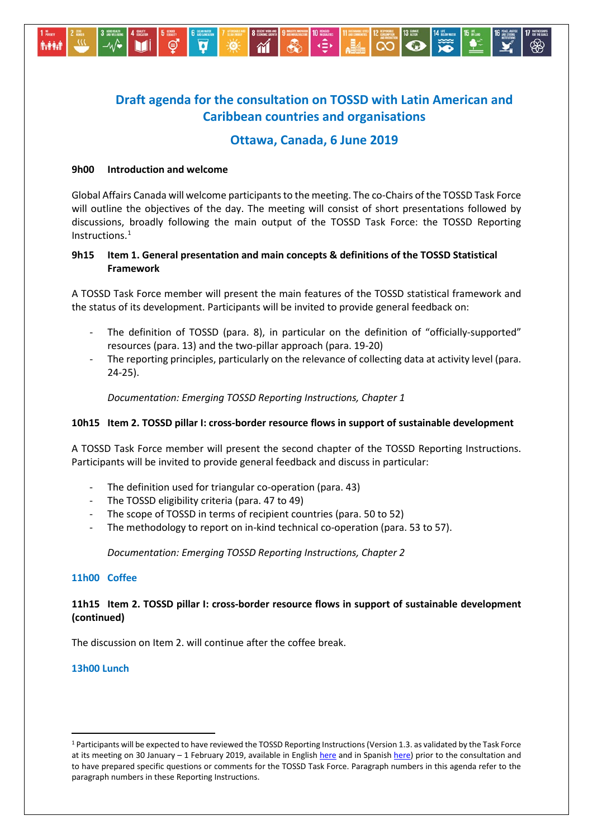

# **Draft agenda for the consultation on TOSSD with Latin American and Caribbean countries and organisations**

## **Ottawa, Canada, 6 June 2019**

## **9h00 Introduction and welcome**

Global Affairs Canada will welcome participants to the meeting. The co-Chairs of the TOSSD Task Force will outline the objectives of the day. The meeting will consist of short presentations followed by discussions, broadly following the main output of the TOSSD Task Force: the TOSSD Reporting Instructions. [1](#page-0-0)

## **9h15 Item 1. General presentation and main concepts & definitions of the TOSSD Statistical Framework**

A TOSSD Task Force member will present the main features of the TOSSD statistical framework and the status of its development. Participants will be invited to provide general feedback on:

- The definition of TOSSD (para. 8), in particular on the definition of "officially-supported" resources (para. 13) and the two-pillar approach (para. 19-20)
- The reporting principles, particularly on the relevance of collecting data at activity level (para. 24-25).

*Documentation: Emerging TOSSD Reporting Instructions, Chapter 1*

## **10h15 Item 2. TOSSD pillar I: cross-border resource flows in support of sustainable development**

A TOSSD Task Force member will present the second chapter of the TOSSD Reporting Instructions. Participants will be invited to provide general feedback and discuss in particular:

- The definition used for triangular co-operation (para. 43)
- The TOSSD eligibility criteria (para. 47 to 49)
- The scope of TOSSD in terms of recipient countries (para. 50 to 52)
- The methodology to report on in-kind technical co-operation (para. 53 to 57).

*Documentation: Emerging TOSSD Reporting Instructions, Chapter 2*

#### **11h00 Coffee**

## **11h15 Item 2. TOSSD pillar I: cross-border resource flows in support of sustainable development (continued)**

The discussion on Item 2. will continue after the coffee break.

#### **13h00 Lunch**

<span id="page-0-0"></span> <sup>1</sup> Participants will be expected to have reviewed the TOSSD Reporting Instructions (Version 1.3. as validated by the Task Force at its meeting on 30 January - 1 February 2019, available in English [here](http://www.oecd.org/dac/financing-sustainable-development/development-finance-standards/Emerging-Reporting-Instructions%20-V1.3-validatedbyTF_WEB.pdf) and in Spanis[h here\)](http://www.oecd.org/dac/financing-sustainable-development/development-finance-standards/TOSSD-reporting-instructions-es.pdf) prior to the consultation and to have prepared specific questions or comments for the TOSSD Task Force. Paragraph numbers in this agenda refer to the paragraph numbers in these Reporting Instructions.